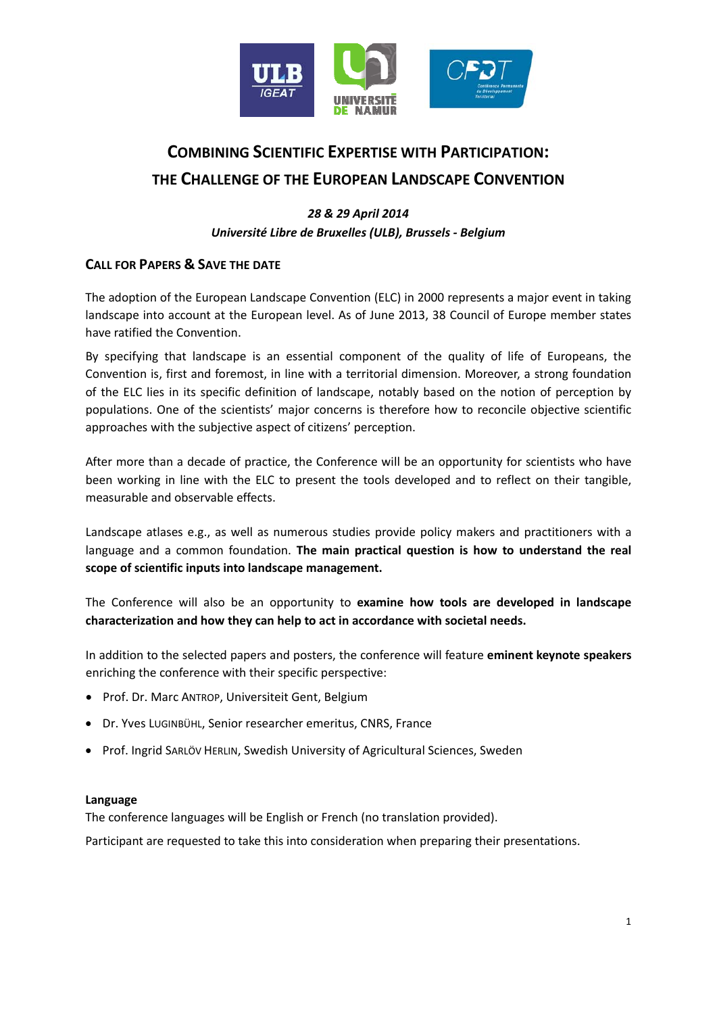

# **COMBINING SCIENTIFIC EXPERTISE WITH PARTICIPATION: THE CHALLENGE OF THE EUROPEAN LANDSCAPE CONVENTION**

# *28 & 29 April 2014 Université Libre de Bruxelles (ULB), Brussels ‐ Belgium*

# **CALL FOR PAPERS & SAVE THE DATE**

The adoption of the European Landscape Convention (ELC) in 2000 represents a major event in taking landscape into account at the European level. As of June 2013, 38 Council of Europe member states have ratified the Convention.

By specifying that landscape is an essential component of the quality of life of Europeans, the Convention is, first and foremost, in line with a territorial dimension. Moreover, a strong foundation of the ELC lies in its specific definition of landscape, notably based on the notion of perception by populations. One of the scientists' major concerns is therefore how to reconcile objective scientific approaches with the subjective aspect of citizens' perception.

After more than a decade of practice, the Conference will be an opportunity for scientists who have been working in line with the ELC to present the tools developed and to reflect on their tangible, measurable and observable effects.

Landscape atlases e.g., as well as numerous studies provide policy makers and practitioners with a language and a common foundation. **The main practical question is how to understand the real scope of scientific inputs into landscape management.**

The Conference will also be an opportunity to **examine how tools are developed in landscape characterization and how they can help to act in accordance with societal needs.**

In addition to the selected papers and posters, the conference will feature **eminent keynote speakers** enriching the conference with their specific perspective:

- Prof. Dr. Marc ANTROP, Universiteit Gent, Belgium
- Dr. Yves LUGINBÜHL, Senior researcher emeritus, CNRS, France
- Prof. Ingrid SARLÖV HERLIN, Swedish University of Agricultural Sciences, Sweden

# **Language**

The conference languages will be English or French (no translation provided).

Participant are requested to take this into consideration when preparing their presentations.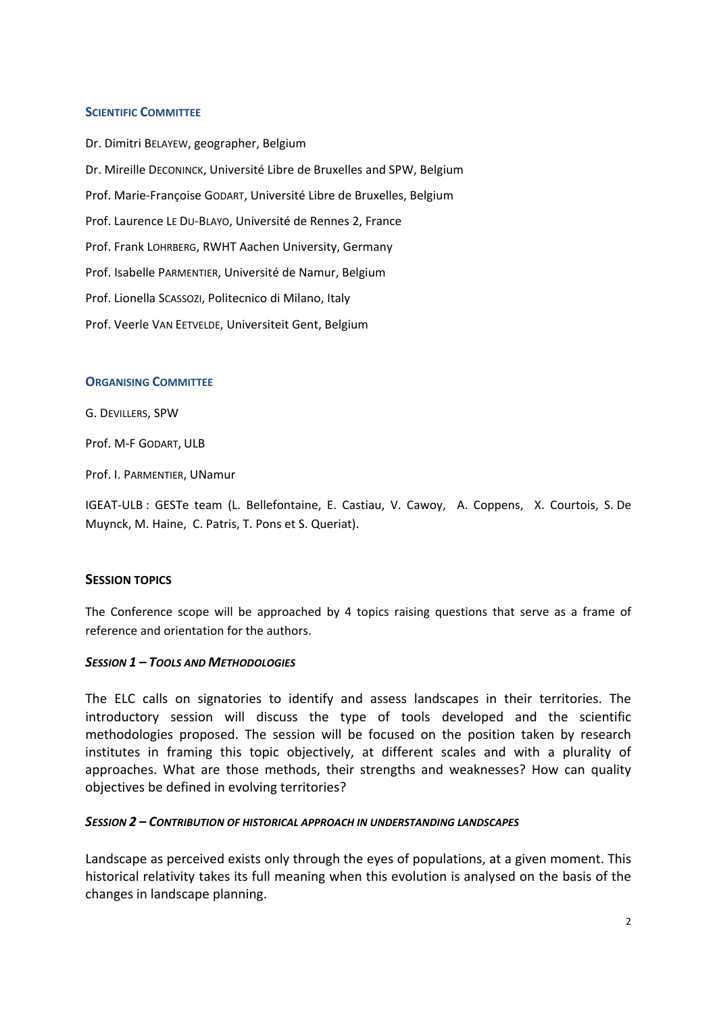#### **SCIENTIFIC COMMITTEE**

Dr. Dimitri BELAYEW, geographer, Belgium Dr. Mireille DECONINCK, Université Libre de Bruxelles and SPW, Belgium Prof. Marie‐Françoise GODART, Université Libre de Bruxelles, Belgium Prof. Laurence LE DU‐BLAYO, Université de Rennes 2, France Prof. Frank LOHRBERG, RWHT Aachen University, Germany Prof. Isabelle PARMENTIER, Université de Namur, Belgium Prof. Lionella SCASSOZI, Politecnico di Milano, Italy Prof. Veerle VAN EETVELDE, Universiteit Gent, Belgium

#### **ORGANISING COMMITTEE**

G. DEVILLERS, SPW

Prof. M‐F GODART, ULB

Prof. I. PARMENTIER, UNamur

IGEAT‐ULB : GESTe team (L. Bellefontaine, E. Castiau, V. Cawoy, A. Coppens, X. Courtois, S. De Muynck, M. Haine, C. Patris, T. Pons et S. Queriat).

#### **SESSION TOPICS**

The Conference scope will be approached by 4 topics raising questions that serve as a frame of reference and orientation for the authors.

#### *SESSION 1 – TOOLS AND METHODOLOGIES*

The ELC calls on signatories to identify and assess landscapes in their territories. The introductory session will discuss the type of tools developed and the scientific methodologies proposed. The session will be focused on the position taken by research institutes in framing this topic objectively, at different scales and with a plurality of approaches. What are those methods, their strengths and weaknesses? How can quality objectives be defined in evolving territories?

#### *SESSION 2 – CONTRIBUTION OF HISTORICAL APPROACH IN UNDERSTANDING LANDSCAPES*

Landscape as perceived exists only through the eyes of populations, at a given moment. This historical relativity takes its full meaning when this evolution is analysed on the basis of the changes in landscape planning.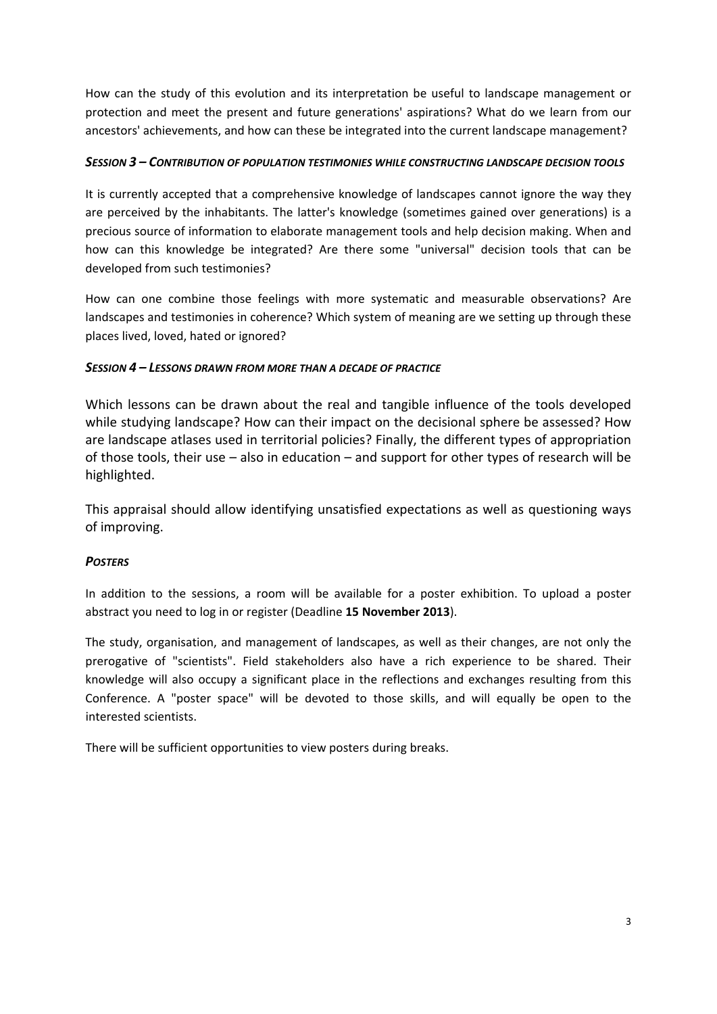How can the study of this evolution and its interpretation be useful to landscape management or protection and meet the present and future generations' aspirations? What do we learn from our ancestors' achievements, and how can these be integrated into the current landscape management?

# *SESSION 3 – CONTRIBUTION OF POPULATION TESTIMONIES WHILE CONSTRUCTING LANDSCAPE DECISION TOOLS*

It is currently accepted that a comprehensive knowledge of landscapes cannot ignore the way they are perceived by the inhabitants. The latter's knowledge (sometimes gained over generations) is a precious source of information to elaborate management tools and help decision making. When and how can this knowledge be integrated? Are there some "universal" decision tools that can be developed from such testimonies?

How can one combine those feelings with more systematic and measurable observations? Are landscapes and testimonies in coherence? Which system of meaning are we setting up through these places lived, loved, hated or ignored?

# *SESSION 4 – LESSONS DRAWN FROM MORE THAN A DECADE OF PRACTICE*

Which lessons can be drawn about the real and tangible influence of the tools developed while studying landscape? How can their impact on the decisional sphere be assessed? How are landscape atlases used in territorial policies? Finally, the different types of appropriation of those tools, their use – also in education – and support for other types of research will be highlighted.

This appraisal should allow identifying unsatisfied expectations as well as questioning ways of improving.

# *POSTERS*

In addition to the sessions, a room will be available for a poster exhibition. To upload a poster abstract you need to log in or register (Deadline **15 November 2013**).

The study, organisation, and management of landscapes, as well as their changes, are not only the prerogative of "scientists". Field stakeholders also have a rich experience to be shared. Their knowledge will also occupy a significant place in the reflections and exchanges resulting from this Conference. A "poster space" will be devoted to those skills, and will equally be open to the interested scientists.

There will be sufficient opportunities to view posters during breaks.